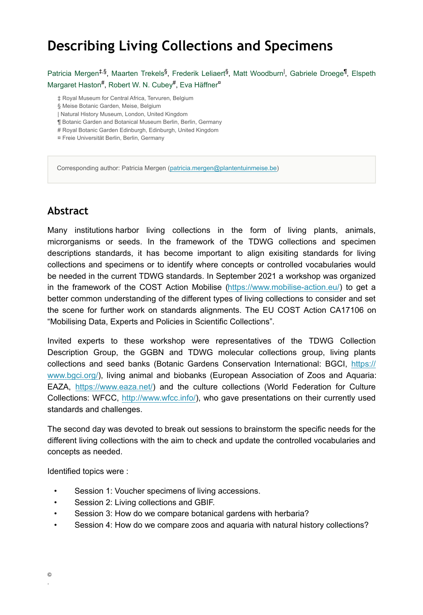# **Describing Living Collections and Specimens**

Patricia Mergen<sup>‡,§</sup>, Maarten Trekels<sup>§</sup>, Frederik Leliaert<sup>§</sup>, Matt Woodburn<sup>I</sup>, Gabriele Droege<sup>¶</sup>, Elspeth Margaret Haston<sup>#</sup>, Robert W. N. Cubey<sup>#</sup>, Eva Häffner<sup>¤</sup>

‡ Royal Museum for Central Africa, Tervuren, Belgium

- § Meise Botanic Garden, Meise, Belgium
- | Natural History Museum, London, United Kingdom
- ¶ Botanic Garden and Botanical Museum Berlin, Berlin, Germany
- # Royal Botanic Garden Edinburgh, Edinburgh, United Kingdom
- ¤ Freie Universität Berlin, Berlin, Germany

Corresponding author: Patricia Mergen ([patricia.mergen@plantentuinmeise.be\)](mailto:patricia.mergen@plantentuinmeise.be)

### **Abstract**

Many institutions harbor living collections in the form of living plants, animals, microrganisms or seeds. In the framework of the TDWG collections and specimen descriptions standards, it has become important to align exisiting standards for living collections and specimens or to identify where concepts or controlled vocabularies would be needed in the current TDWG standards. In September 2021 a workshop was organized in the framework of the COST Action Mobilise [\(https://www.mobilise-action.eu/](https://www.mobilise-action.eu/)) to get a better common understanding of the different types of living collections to consider and set the scene for further work on standards alignments. The EU COST Action CA17106 on "Mobilising Data, Experts and Policies in Scientific Collections".

Invited experts to these workshop were representatives of the TDWG Collection Description Group, the GGBN and TDWG molecular collections group, living plants collections and seed banks (Botanic Gardens Conservation International: BGCI, [https://](https://www.bgci.org/) [www.bgci.org/](https://www.bgci.org/)), living animal and biobanks (European Association of Zoos and Aquaria: EAZA, [https://www.eaza.net/\)](https://www.eaza.net/) and the culture collections (World Federation for Culture Collections: WFCC, <http://www.wfcc.info/>), who gave presentations on their currently used standards and challenges.

The second day was devoted to break out sessions to brainstorm the specific needs for the different living collections with the aim to check and update the controlled vocabularies and concepts as needed.

Identified topics were :

- Session 1: Voucher specimens of living accessions.
- Session 2: Living collections and GBIF.
- Session 3: How do we compare botanical gardens with herbaria?
- Session 4: How do we compare zoos and aquaria with natural history collections?